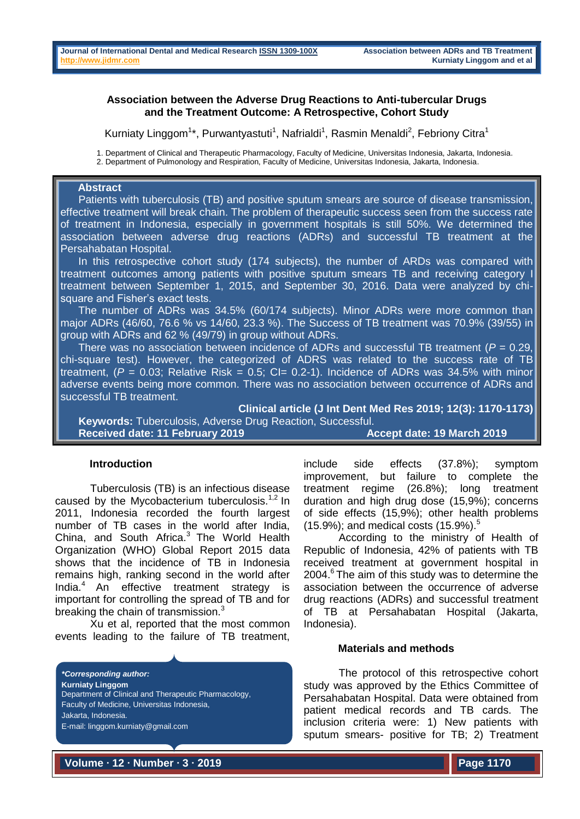### **Association between the Adverse Drug Reactions to Anti-tubercular Drugs and the Treatment Outcome: A Retrospective, Cohort Study**

Kurniaty Linggom<sup>1\*</sup>, Purwantyastuti<sup>1</sup>, Nafrialdi<sup>1</sup>, Rasmin Menaldi<sup>2</sup>, Febriony Citra<sup>1</sup>

1. Department of Clinical and Therapeutic Pharmacology, Faculty of Medicine, Universitas Indonesia, Jakarta, Indonesia.

2. Department of Pulmonology and Respiration, Faculty of Medicine, Universitas Indonesia, Jakarta, Indonesia.

# **Abstract**

Patients with tuberculosis (TB) and positive sputum smears are source of disease transmission, effective treatment will break chain. The problem of therapeutic success seen from the success rate of treatment in Indonesia, especially in government hospitals is still 50%. We determined the association between adverse drug reactions (ADRs) and successful TB treatment at the Persahabatan Hospital.

 In this retrospective cohort study (174 subjects), the number of ARDs was compared with treatment outcomes among patients with positive sputum smears TB and receiving category I treatment between September 1, 2015, and September 30, 2016. Data were analyzed by chisquare and Fisher's exact tests.

 The number of ADRs was 34.5% (60/174 subjects). Minor ADRs were more common than major ADRs (46/60, 76.6 % vs 14/60, 23.3 %). The Success of TB treatment was 70.9% (39/55) in group with ADRs and 62 % (49/79) in group without ADRs.

 There was no association between incidence of ADRs and successful TB treatment (*P* = 0.29, chi-square test). However, the categorized of ADRS was related to the success rate of TB treatment,  $(P = 0.03$ ; Relative Risk = 0.5; CI= 0.2-1). Incidence of ADRs was 34.5% with minor adverse events being more common. There was no association between occurrence of ADRs and successful TB treatment.

**Clinical article (J Int Dent Med Res 2019; 12(3): 1170-1173) Keywords:** Tuberculosis, Adverse Drug Reaction, Successful. Received date: 11 February 2019 **Accept date: 19 March 2019** 

## **Introduction**

Tuberculosis (TB) is an infectious disease caused by the Mycobacterium tuberculosis.<sup>1,2</sup> In 2011, Indonesia recorded the fourth largest number of TB cases in the world after India, China, and South Africa. $3$  The World Health Organization (WHO) Global Report 2015 data shows that the incidence of TB in Indonesia remains high, ranking second in the world after India. $4$  An effective treatment strategy is important for controlling the spread of TB and for breaking the chain of transmission.<sup>3</sup>

Xu et al, reported that the most common events leading to the failure of TB treatment,

*\*Corresponding author:* **Kurniaty Linggom** Department of Clinical and Therapeutic Pharmacology, Faculty of Medicine, Universitas Indonesia, Jakarta, Indonesia. E-mail: linggom.kurniaty@gmail.com

include side effects (37.8%); symptom improvement, but failure to complete the treatment regime (26.8%); long treatment duration and high drug dose (15,9%); concerns of side effects (15,9%); other health problems  $(15.9\%)$ ; and medical costs  $(15.9\%)$ .<sup>5</sup>

According to the ministry of Health of Republic of Indonesia, 42% of patients with TB received treatment at government hospital in  $2004<sup>6</sup>$  The aim of this study was to determine the association between the occurrence of adverse drug reactions (ADRs) and successful treatment of TB at Persahabatan Hospital (Jakarta, Indonesia).

### **Materials and methods**

The protocol of this retrospective cohort study was approved by the Ethics Committee of Persahabatan Hospital. Data were obtained from patient medical records and TB cards. The inclusion criteria were: 1) New patients with sputum smears- positive for TB; 2) Treatment

**Volume ∙ 12 ∙ Number ∙ 3 ∙ 2019**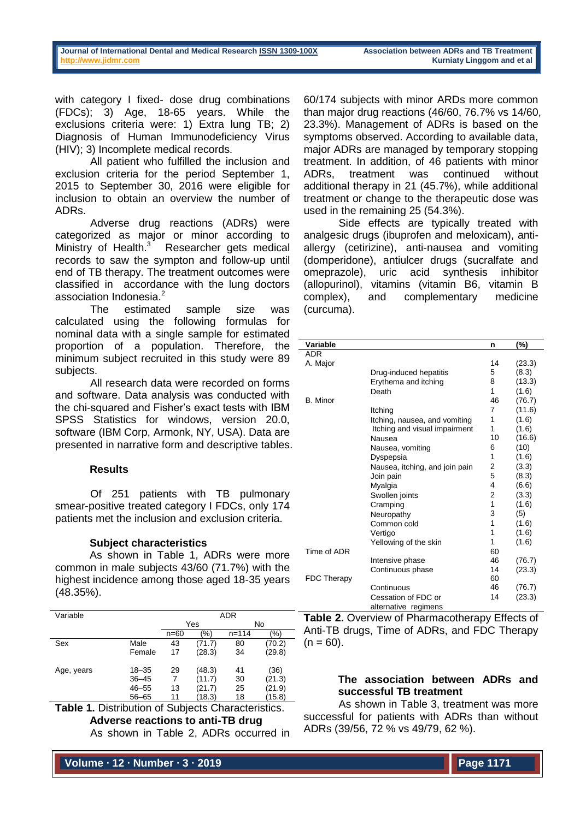with category I fixed- dose drug combinations (FDCs); 3) Age, 18-65 years. While the exclusions criteria were: 1) Extra lung TB; 2) Diagnosis of Human Immunodeficiency Virus (HIV); 3) Incomplete medical records.

All patient who fulfilled the inclusion and exclusion criteria for the period September 1, 2015 to September 30, 2016 were eligible for inclusion to obtain an overview the number of ADRs.

Adverse drug reactions (ADRs) were categorized as major or minor according to Ministry of Health. $3$  Researcher gets medical records to saw the sympton and follow-up until end of TB therapy. The treatment outcomes were classified in accordance with the lung doctors association Indonesia.<sup>2</sup>

The estimated sample size was calculated using the following formulas for nominal data with a single sample for estimated proportion of a population. Therefore, the minimum subject recruited in this study were 89 subjects.

All research data were recorded on forms and software. Data analysis was conducted with the chi-squared and Fisher's exact tests with IBM SPSS Statistics for windows, version 20.0, software (IBM Corp, Armonk, NY, USA). Data are presented in narrative form and descriptive tables.

# **Results**

Of 251 patients with TB pulmonary smear-positive treated category I FDCs, only 174 patients met the inclusion and exclusion criteria.

## **Subject characteristics**

As shown in Table 1, ADRs were more common in male subjects 43/60 (71.7%) with the highest incidence among those aged 18-35 years (48.35%).

| Variable   |           | <b>ADR</b> |        |           |         |
|------------|-----------|------------|--------|-----------|---------|
|            |           | Yes        |        | No        |         |
|            |           | $n = 60$   | (%)    | $n = 114$ | $(\% )$ |
| Sex        | Male      | 43         | (71.7) | 80        | (70.2)  |
|            | Female    | 17         | (28.3) | 34        | (29.8)  |
| Age, years | $18 - 35$ | 29         | (48.3) | 41        | (36)    |
|            | $36 - 45$ |            | (11.7) | 30        | (21.3)  |
|            | $46 - 55$ | 13         | (21.7) | 25        | (21.9)  |
|            | $56 - 65$ | 11         | (18.3) | 18        | (15.8)  |

**Table 1.** Distribution of Subjects Characteristics. **Adverse reactions to anti-TB drug**

As shown in Table 2, ADRs occurred in

60/174 subjects with minor ARDs more common than major drug reactions (46/60, 76.7% vs 14/60, 23.3%). Management of ADRs is based on the symptoms observed. According to available data, major ADRs are managed by temporary stopping treatment. In addition, of 46 patients with minor ADRs, treatment was continued without additional therapy in 21 (45.7%), while additional treatment or change to the therapeutic dose was used in the remaining 25 (54.3%).

Side effects are typically treated with analgesic drugs (ibuprofen and meloxicam), antiallergy (cetirizine), anti-nausea and vomiting (domperidone), antiulcer drugs (sucralfate and omeprazole), uric acid synthesis inhibitor (allopurinol), vitamins (vitamin B6, vitamin B complex), and complementary medicine (curcuma).

| Variable           |                                | n              | (%)    |
|--------------------|--------------------------------|----------------|--------|
| <b>ADR</b>         |                                |                |        |
| A. Major           |                                | 14             | (23.3) |
|                    | Drug-induced hepatitis         | 5              | (8.3)  |
|                    | Erythema and itching           | 8              | (13.3) |
|                    | Death                          | 1              | (1.6)  |
| B. Minor           |                                | 46             | (76.7) |
|                    | Itching                        | 7              | (11.6) |
|                    | Itching, nausea, and vomiting  | 1              | (1.6)  |
|                    | Itching and visual impairment  | 1              | (1.6)  |
|                    | Nausea                         | 10             | (16.6) |
|                    | Nausea, vomiting               | 6              | (10)   |
|                    | Dyspepsia                      | 1              | (1.6)  |
|                    | Nausea, itching, and join pain | 2              | (3.3)  |
|                    | Join pain                      | 5              | (8.3)  |
|                    | Myalgia                        | 4              | (6.6)  |
|                    | Swollen joints                 | $\overline{2}$ | (3.3)  |
|                    | Cramping                       | 1              | (1.6)  |
|                    | Neuropathy                     | 3              | (5)    |
|                    | Common cold                    | 1              | (1.6)  |
|                    | Vertigo                        | 1              | (1.6)  |
|                    | Yellowing of the skin          | 1              | (1.6)  |
| Time of ADR        |                                | 60             |        |
|                    | Intensive phase                | 46             | (76.7) |
|                    | Continuous phase               | 14             | (23.3) |
| <b>FDC Therapy</b> |                                | 60             |        |
|                    | Continuous                     | 46             | (76.7) |
|                    | Cessation of FDC or            | 14             | (23.3) |
|                    | alternative regimens           |                |        |

**Table 2.** Overview of Pharmacotherapy Effects of Anti-TB drugs, Time of ADRs, and FDC Therapy  $(n = 60)$ .

# **The association between ADRs and successful TB treatment**

As shown in Table 3, treatment was more successful for patients with ADRs than without ADRs (39/56, 72 % vs 49/79, 62 %).

**Volume ∙ 12 ∙ Number ∙ 3 ∙ 2019**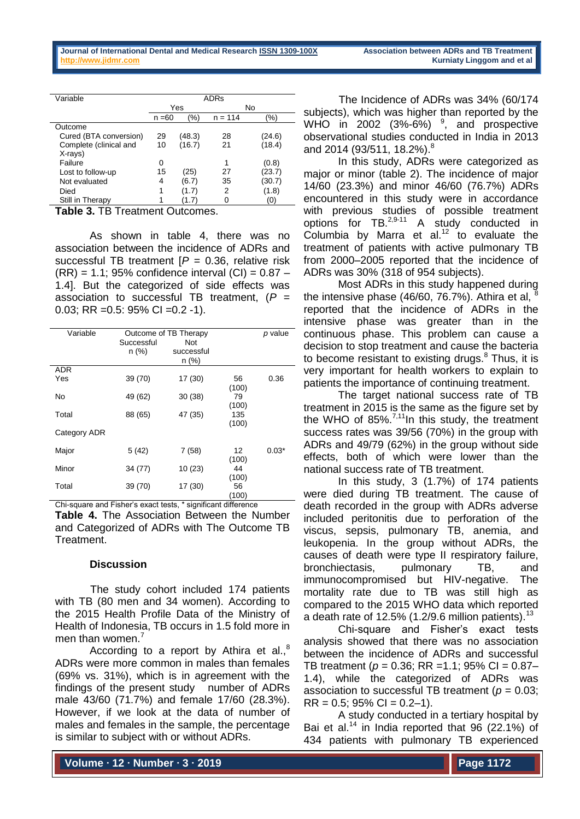| Variable               | <b>ADRs</b> |           |           |        |
|------------------------|-------------|-----------|-----------|--------|
|                        |             | Yes<br>No |           |        |
|                        | $n = 60$    | (%)       | $n = 114$ | (%)    |
| Outcome                |             |           |           |        |
| Cured (BTA conversion) | 29          | (48.3)    | 28        | (24.6) |
| Complete (clinical and | 10          | (16.7)    | 21        | (18.4) |
| X-rays)                |             |           |           |        |
| Failure                | 0           |           | 1         | (0.8)  |
| Lost to follow-up      | 15          | (25)      | 27        | (23.7) |
| Not evaluated          | 4           | (6.7)     | 35        | (30.7) |
| Died                   |             | (1.7)     | 2         | (1.8)  |
| Still in Therapy       |             | 1.7       |           | (O)    |

**Table 3.** TB Treatment Outcomes.

As shown in table 4, there was no association between the incidence of ADRs and successful TB treatment [*P* = 0.36, relative risk  $(RR) = 1.1$ : 95% confidence interval  $(CI) = 0.87$  – 1.4]. But the categorized of side effects was association to successful TB treatment, (*P* = 0.03; RR =  $0.5$ : 95% CI =  $0.2$  -1).

| Variable          | Successful<br>$n$ (%) | Outcome of TB Therapy<br>Not<br>successful<br>n (%) |              | p value |
|-------------------|-----------------------|-----------------------------------------------------|--------------|---------|
| <b>ADR</b><br>Yes | 39 (70)               | 17 (30)                                             | 56<br>(100)  | 0.36    |
| No                | 49 (62)               | 30(38)                                              | 79<br>(100)  |         |
| Total             | 88 (65)               | 47 (35)                                             | 135<br>(100) |         |
| Category ADR      |                       |                                                     |              |         |
| Major             | 5(42)                 | 7(58)                                               | 12<br>(100)  | $0.03*$ |
| Minor             | 34 (77)               | 10 (23)                                             | 44<br>(100)  |         |
| Total             | 39 (70)               | 17 (30)                                             | 56<br>(100)  |         |

Chi-square and Fisher's exact tests, \* significant difference

**Table 4.** The Association Between the Number and Categorized of ADRs with The Outcome TB Treatment.

## **Discussion**

The study cohort included 174 patients with TB (80 men and 34 women). According to the 2015 Health Profile Data of the Ministry of Health of Indonesia, TB occurs in 1.5 fold more in men than women.<sup>7</sup>

According to a report by Athira et al.,<sup>8</sup> ADRs were more common in males than females (69% vs. 31%), which is in agreement with the findings of the present study number of ADRs male 43/60 (71.7%) and female 17/60 (28.3%). However, if we look at the data of number of males and females in the sample, the percentage is similar to subject with or without ADRs.

The Incidence of ADRs was 34% (60/174 subjects), which was higher than reported by the WHO in 2002  $(3\% - 6\%)$   $\degree$ , and prospective observational studies conducted in India in 2013 and 2014 (93/511, 18.2%).<sup>8</sup>

In this study, ADRs were categorized as major or minor (table 2). The incidence of major 14/60 (23.3%) and minor 46/60 (76.7%) ADRs encountered in this study were in accordance with previous studies of possible treatment options for TB.<sup>2,9-11</sup> A study conducted in Columbia by Marra et al. $12$  to evaluate the treatment of patients with active pulmonary TB from 2000–2005 reported that the incidence of ADRs was 30% (318 of 954 subjects).

Most ADRs in this study happened during the intensive phase (46/60, 76.7%). Athira et al, <sup>8</sup> reported that the incidence of ADRs in the intensive phase was greater than in the continuous phase. This problem can cause a decision to stop treatment and cause the bacteria to become resistant to existing drugs. $8$  Thus, it is very important for health workers to explain to patients the importance of continuing treatment.

The target national success rate of TB treatment in 2015 is the same as the figure set by the WHO of 85%. $^{7,11}$ In this study, the treatment success rates was 39/56 (70%) in the group with ADRs and 49/79 (62%) in the group without side effects, both of which were lower than the national success rate of TB treatment.

In this study, 3 (1.7%) of 174 patients were died during TB treatment. The cause of death recorded in the group with ADRs adverse included peritonitis due to perforation of the viscus, sepsis, pulmonary TB, anemia, and leukopenia. In the group without ADRs, the causes of death were type II respiratory failure, bronchiectasis, pulmonary TB, and immunocompromised but HIV-negative. The mortality rate due to TB was still high as compared to the 2015 WHO data which reported a death rate of 12.5% (1.2/9.6 million patients). $13$ 

Chi-square and Fisher's exact tests analysis showed that there was no association between the incidence of ADRs and successful TB treatment ( $p = 0.36$ ; RR = 1.1; 95% CI = 0.87– 1.4), while the categorized of ADRs was association to successful TB treatment ( $p = 0.03$ ;  $RR = 0.5$ ; 95% CI = 0.2–1).

A study conducted in a tertiary hospital by Bai et al.<sup>14</sup> in India reported that  $96$  (22.1%) of 434 patients with pulmonary TB experienced

**Volume ∙ 12 ∙ Number ∙ 3 ∙ 2019**